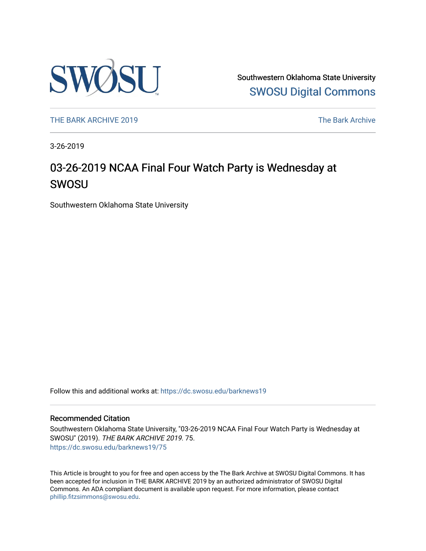

Southwestern Oklahoma State University [SWOSU Digital Commons](https://dc.swosu.edu/) 

[THE BARK ARCHIVE 2019](https://dc.swosu.edu/barknews19) The Bark Archive

3-26-2019

## 03-26-2019 NCAA Final Four Watch Party is Wednesday at SWOSU

Southwestern Oklahoma State University

Follow this and additional works at: [https://dc.swosu.edu/barknews19](https://dc.swosu.edu/barknews19?utm_source=dc.swosu.edu%2Fbarknews19%2F75&utm_medium=PDF&utm_campaign=PDFCoverPages)

#### Recommended Citation

Southwestern Oklahoma State University, "03-26-2019 NCAA Final Four Watch Party is Wednesday at SWOSU" (2019). THE BARK ARCHIVE 2019. 75. [https://dc.swosu.edu/barknews19/75](https://dc.swosu.edu/barknews19/75?utm_source=dc.swosu.edu%2Fbarknews19%2F75&utm_medium=PDF&utm_campaign=PDFCoverPages) 

This Article is brought to you for free and open access by the The Bark Archive at SWOSU Digital Commons. It has been accepted for inclusion in THE BARK ARCHIVE 2019 by an authorized administrator of SWOSU Digital Commons. An ADA compliant document is available upon request. For more information, please contact [phillip.fitzsimmons@swosu.edu](mailto:phillip.fitzsimmons@swosu.edu).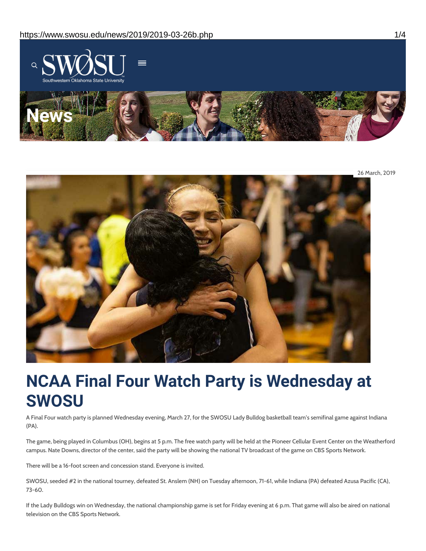

26 March, 2019



# **NCAA Final Four Watch Party is Wednesday at SWOSU**

A Final Four watch party is planned Wednesday evening, March 27, for the SWOSU Lady Bulldog basketball team's semifinal game against Indiana (PA).

The game, being played in Columbus (OH), begins at 5 p.m. The free watch party will be held at the Pioneer Cellular Event Center on the Weatherford campus. Nate Downs, director of the center, said the party will be showing the national TV broadcast of the game on CBS Sports Network.

There will be a 16-foot screen and concession stand. Everyone is invited.

SWOSU, seeded #2 in the national tourney, defeated St. Anslem (NH) on Tuesday afternoon, 71-61, while Indiana (PA) defeated Azusa Pacific (CA), 73-60.

If the Lady Bulldogs win on Wednesday, the national championship game is set for Friday evening at 6 p.m. That game will also be aired on national television on the CBS Sports Network.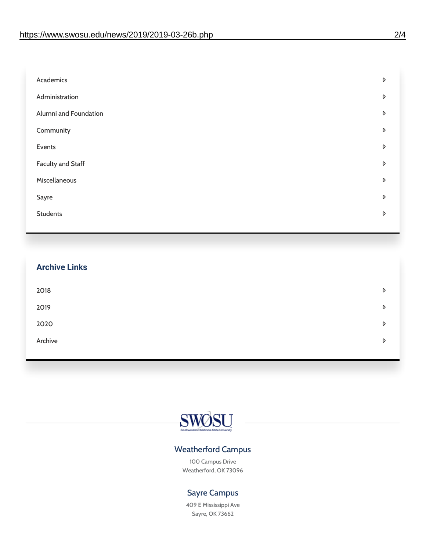| Academics                | D |
|--------------------------|---|
| Administration           | D |
| Alumni and Foundation    | D |
| Community                | D |
| Events                   | D |
| <b>Faculty and Staff</b> | D |
| Miscellaneous            | D |
| Sayre                    | D |
| <b>Students</b>          | D |
|                          |   |

| <b>Archive Links</b> |   |
|----------------------|---|
| 2018                 | D |
| 2019                 | D |
| 2020                 | D |
| Archive              | D |
|                      |   |



### Weatherford Campus

100 Campus Drive Weatherford, OK 73096

### Sayre Campus

409 E Mississippi Ave Sayre, OK 73662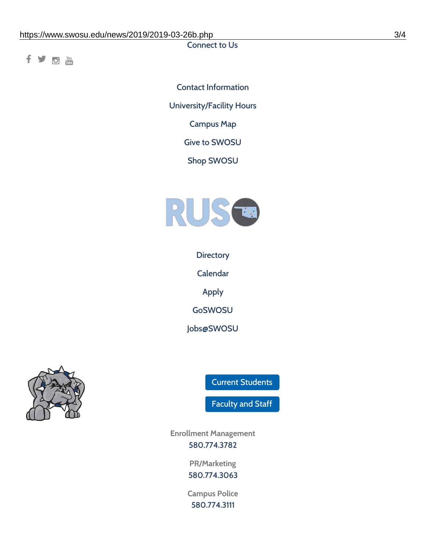Connect to Us

fyom

Contact [Information](https://www.swosu.edu/about/contact.php) [University/Facility](https://www.swosu.edu/about/operating-hours.php) Hours [Campus](https://map.concept3d.com/?id=768#!ct/10964,10214,10213,10212,10205,10204,10203,10202,10136,10129,10128,0,31226,10130,10201,10641,0) Map Give to [SWOSU](https://standingfirmly.com/donate) Shop [SWOSU](https://shopswosu.merchorders.com/)



**[Directory](https://www.swosu.edu/directory/index.php)** 

[Calendar](https://eventpublisher.dudesolutions.com/swosu/)

[Apply](https://www.swosu.edu/admissions/apply-to-swosu.php)

[GoSWOSU](https://qlsso.quicklaunchsso.com/home/1267)

[Jobs@SWOSU](https://swosu.csod.com/ux/ats/careersite/1/home?c=swosu)



Current [Students](https://bulldog.swosu.edu/index.php)

[Faculty](https://bulldog.swosu.edu/faculty-staff/index.php) and Staff

**Enrollment Management** [580.774.3782](tel:5807743782)

> **PR/Marketing** [580.774.3063](tel:5807743063)

**Campus Police** [580.774.3111](tel:5807743111)